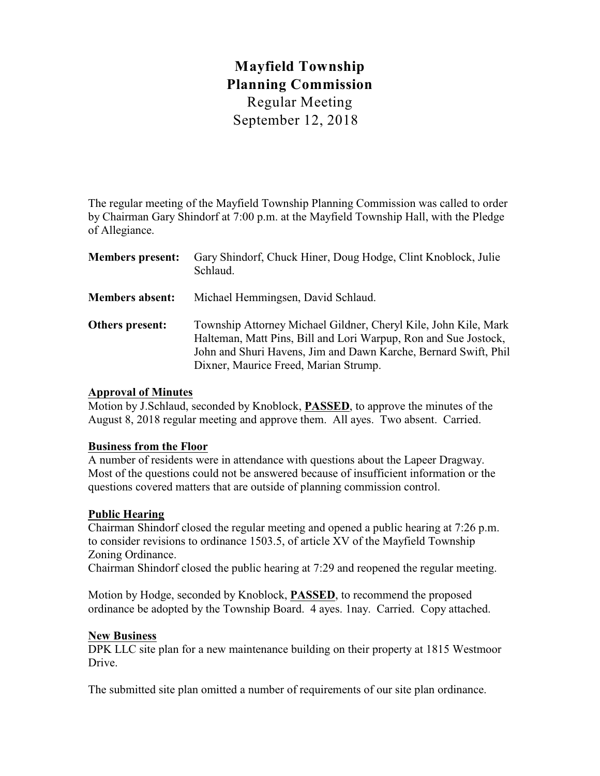# **Mayfield Township Planning Commission** Regular Meeting September 12, 2018

The regular meeting of the Mayfield Township Planning Commission was called to order by Chairman Gary Shindorf at 7:00 p.m. at the Mayfield Township Hall, with the Pledge of Allegiance.

| <b>Members present:</b> | Gary Shindorf, Chuck Hiner, Doug Hodge, Clint Knoblock, Julie<br>Schlaud.                                                                                                                                                                      |
|-------------------------|------------------------------------------------------------------------------------------------------------------------------------------------------------------------------------------------------------------------------------------------|
| <b>Members absent:</b>  | Michael Hemmingsen, David Schlaud.                                                                                                                                                                                                             |
| Others present:         | Township Attorney Michael Gildner, Cheryl Kile, John Kile, Mark<br>Halteman, Matt Pins, Bill and Lori Warpup, Ron and Sue Jostock,<br>John and Shuri Havens, Jim and Dawn Karche, Bernard Swift, Phil<br>Dixner, Maurice Freed, Marian Strump. |

### **Approval of Minutes**

Motion by J.Schlaud, seconded by Knoblock, **PASSED**, to approve the minutes of the August 8, 2018 regular meeting and approve them. All ayes. Two absent. Carried.

#### **Business from the Floor**

A number of residents were in attendance with questions about the Lapeer Dragway. Most of the questions could not be answered because of insufficient information or the questions covered matters that are outside of planning commission control.

## **Public Hearing**

Chairman Shindorf closed the regular meeting and opened a public hearing at 7:26 p.m. to consider revisions to ordinance 1503.5, of article XV of the Mayfield Township Zoning Ordinance.

Chairman Shindorf closed the public hearing at 7:29 and reopened the regular meeting.

Motion by Hodge, seconded by Knoblock, **PASSED**, to recommend the proposed ordinance be adopted by the Township Board. 4 ayes. 1nay. Carried. Copy attached.

#### **New Business**

DPK LLC site plan for a new maintenance building on their property at 1815 Westmoor Drive.

The submitted site plan omitted a number of requirements of our site plan ordinance.